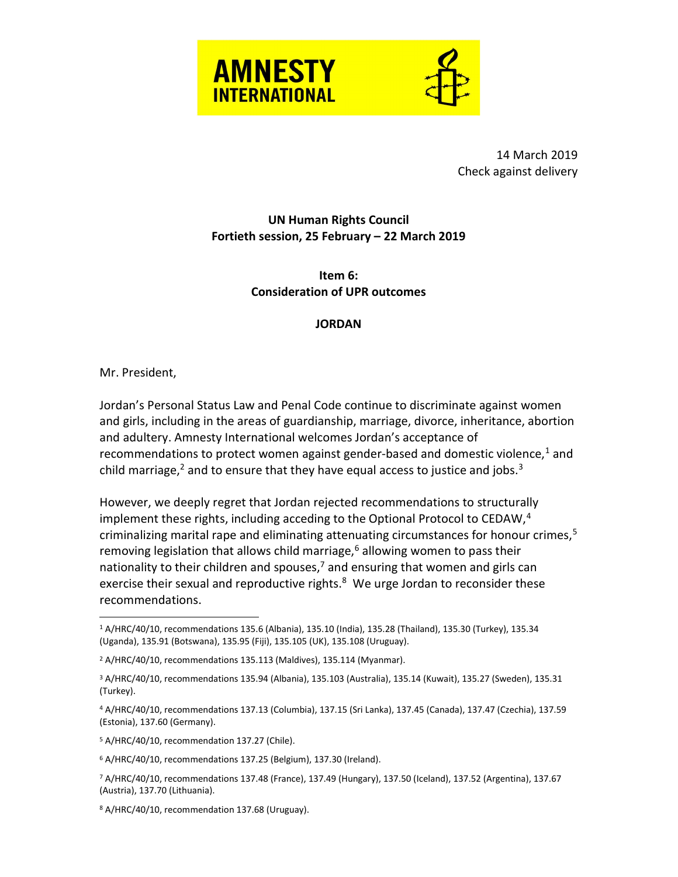



 14 March 2019 Check against delivery

## UN Human Rights Council Fortieth session, 25 February – 22 March 2019

## Item 6: Consideration of UPR outcomes

## **JORDAN**

Mr. President,

Jordan's Personal Status Law and Penal Code continue to discriminate against women and girls, including in the areas of guardianship, marriage, divorce, inheritance, abortion and adultery. Amnesty International welcomes Jordan's acceptance of recommendations to protect women against gender-based and domestic violence,<sup>1</sup> and child marriage,<sup>2</sup> and to ensure that they have equal access to justice and jobs.<sup>3</sup>

However, we deeply regret that Jordan rejected recommendations to structurally implement these rights, including acceding to the Optional Protocol to CEDAW, $4$ criminalizing marital rape and eliminating attenuating circumstances for honour crimes, $5$ removing legislation that allows child marriage,<sup>6</sup> allowing women to pass their nationality to their children and spouses,<sup>7</sup> and ensuring that women and girls can exercise their sexual and reproductive rights.<sup>8</sup> We urge Jordan to reconsider these recommendations.

5 A/HRC/40/10, recommendation 137.27 (Chile).

6 A/HRC/40/10, recommendations 137.25 (Belgium), 137.30 (Ireland).

 $\overline{a}$ 1 A/HRC/40/10, recommendations 135.6 (Albania), 135.10 (India), 135.28 (Thailand), 135.30 (Turkey), 135.34 (Uganda), 135.91 (Botswana), 135.95 (Fiji), 135.105 (UK), 135.108 (Uruguay).

<sup>2</sup> A/HRC/40/10, recommendations 135.113 (Maldives), 135.114 (Myanmar).

<sup>3</sup> A/HRC/40/10, recommendations 135.94 (Albania), 135.103 (Australia), 135.14 (Kuwait), 135.27 (Sweden), 135.31 (Turkey).

<sup>4</sup> A/HRC/40/10, recommendations 137.13 (Columbia), 137.15 (Sri Lanka), 137.45 (Canada), 137.47 (Czechia), 137.59 (Estonia), 137.60 (Germany).

<sup>7</sup> A/HRC/40/10, recommendations 137.48 (France), 137.49 (Hungary), 137.50 (Iceland), 137.52 (Argentina), 137.67 (Austria), 137.70 (Lithuania).

<sup>8</sup> A/HRC/40/10, recommendation 137.68 (Uruguay).